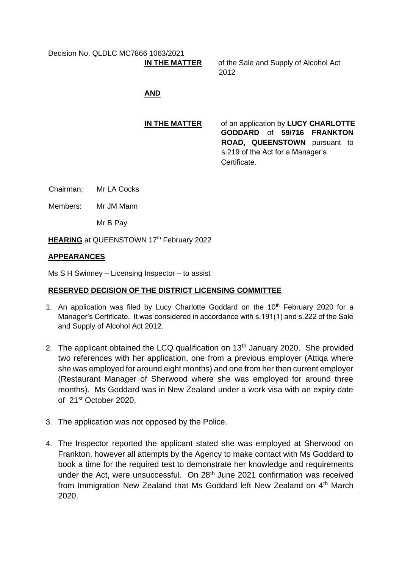Decision No. QLDLC MC7866 1063/2021 **IN THE MATTER**

of the Sale and Supply of Alcohol Act 2012

## **AND**

## **IN THE MATTER** of an application by **LUCY CHARLOTTE GODDARD** of **59/716 FRANKTON ROAD, QUEENSTOWN** pursuant to s.219 of the Act for a Manager's Certificate.

Chairman: Mr LA Cocks

Members: Mr JM Mann

Mr B Pay

**HEARING** at QUEENSTOWN 17<sup>th</sup> February 2022

## **APPEARANCES**

Ms S H Swinney – Licensing Inspector – to assist

## **RESERVED DECISION OF THE DISTRICT LICENSING COMMITTEE**

- 1. An application was filed by Lucy Charlotte Goddard on the  $10<sup>th</sup>$  February 2020 for a Manager's Certificate. It was considered in accordance with s.191(1) and s.222 of the Sale and Supply of Alcohol Act 2012.
- 2. The applicant obtained the LCQ qualification on 13<sup>th</sup> January 2020. She provided two references with her application, one from a previous employer (Attiqa where she was employed for around eight months) and one from her then current employer (Restaurant Manager of Sherwood where she was employed for around three months). Ms Goddard was in New Zealand under a work visa with an expiry date of 21st October 2020.
- 3. The application was not opposed by the Police.
- 4. The Inspector reported the applicant stated she was employed at Sherwood on Frankton, however all attempts by the Agency to make contact with Ms Goddard to book a time for the required test to demonstrate her knowledge and requirements under the Act, were unsuccessful. On 28<sup>th</sup> June 2021 confirmation was received from Immigration New Zealand that Ms Goddard left New Zealand on 4<sup>th</sup> March 2020.